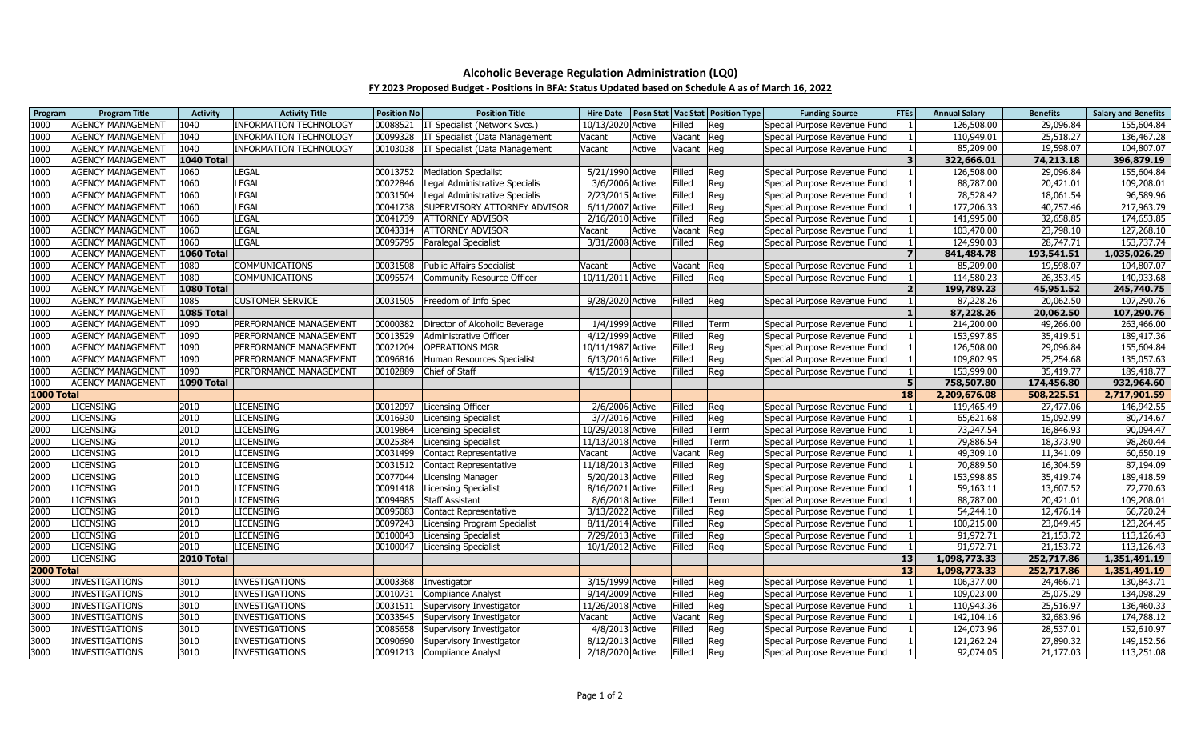## **Alcoholic Beverage Regulation Administration (LQ0)**

## **FY 2023 Proposed Budget - Positions in BFA: Status Updated based on Schedule A as of March 16, 2022**

| Program           | <b>Program Title</b>     | <b>Activity</b>   | <b>Activity Title</b>         | <b>Position No</b> | <b>Position Title</b>                     | <b>Hire Date</b>  |        |        | <b>Posn Stat Vac Stat Position Type</b> | <b>Funding Source</b>        | <b>FTEs</b>             | <b>Annual Salary</b> | <b>Benefits</b> | <b>Salary and Benefits</b> |
|-------------------|--------------------------|-------------------|-------------------------------|--------------------|-------------------------------------------|-------------------|--------|--------|-----------------------------------------|------------------------------|-------------------------|----------------------|-----------------|----------------------------|
| 1000              | <b>AGENCY MANAGEMENT</b> | 1040              | <b>INFORMATION TECHNOLOGY</b> | 00088521           | IT Specialist (Network Svcs.)             | 10/13/2020 Active |        | Filled | Reg                                     | Special Purpose Revenue Fund |                         | 126,508.00           | 29,096.84       | 155,604.84                 |
| 1000              | <b>AGENCY MANAGEMENT</b> | 1040              | <b>INFORMATION TECHNOLOGY</b> |                    | 00099328   IT Specialist (Data Management | Vacant            | Active | Vacant | Reg                                     | Special Purpose Revenue Fund |                         | 110,949.01           | 25,518.27       | 136,467.28                 |
| 1000              | <b>AGENCY MANAGEMENT</b> | 1040              | <b>INFORMATION TECHNOLOGY</b> | 00103038           | <b>IT Specialist (Data Management</b>     | Vacant            | Active | Vacant | Reg                                     | Special Purpose Revenue Fund |                         | 85,209.00            | 19,598.07       | 104,807.07                 |
| 1000              | <b>AGENCY MANAGEMENT</b> | <b>1040 Total</b> |                               |                    |                                           |                   |        |        |                                         |                              | $\overline{\mathbf{3}}$ | 322,666.01           | 74,213.18       | 396,879.19                 |
| 1000              | <b>AGENCY MANAGEMENT</b> | 1060              | LEGAL                         |                    | 00013752   Mediation Specialist           | 5/21/1990 Active  |        | Filled | Reg                                     | Special Purpose Revenue Fund |                         | 126,508.00           | 29,096.84       | 155,604.84                 |
| 1000              | <b>AGENCY MANAGEMENT</b> | 1060              | <b>LEGAL</b>                  | 00022846           | Legal Administrative Specialis            | 3/6/2006 Active   |        | Filled | Reg                                     | Special Purpose Revenue Fund |                         | 88,787.00            | 20,421.01       | 109,208.01                 |
| 1000              | <b>AGENCY MANAGEMENT</b> | 1060              | LEGAL                         | 00031504           | Legal Administrative Specialis            | 2/23/2015 Active  |        | Filled | Reg                                     | Special Purpose Revenue Fund |                         | 78,528.42            | 18,061.54       | 96,589.96                  |
| 1000              | <b>AGENCY MANAGEMENT</b> | 1060              | <b>LEGAL</b>                  | 00041738           | SUPERVISORY ATTORNEY ADVISOR              | 6/11/2007 Active  |        | Filled | Reg                                     | Special Purpose Revenue Fund |                         | 177,206.33           | 40,757.46       | 217,963.79                 |
| 1000              | <b>AGENCY MANAGEMENT</b> | 1060              | <b>LEGAL</b>                  | 00041739           | <b>ATTORNEY ADVISOR</b>                   | 2/16/2010 Active  |        | Filled | Reg                                     | Special Purpose Revenue Fund |                         | 141,995.00           | 32,658.85       | 174,653.85                 |
| 1000              | <b>AGENCY MANAGEMENT</b> | 1060              | <b>LEGAL</b>                  | 00043314           | <b>ATTORNEY ADVISOR</b>                   | Vacant            | Active | Vacant | Reg                                     | Special Purpose Revenue Fund | $\overline{1}$          | 103,470.00           | 23,798.10       | 127,268.10                 |
| 1000              | <b>AGENCY MANAGEMENT</b> | 1060              | LEGAL                         |                    | 00095795 Paralegal Specialist             | 3/31/2008 Active  |        | Filled | Reg                                     | Special Purpose Revenue Fund |                         | 124,990.03           | 28,747.71       | 153,737.74                 |
| 1000              | <b>AGENCY MANAGEMENT</b> | <b>1060 Total</b> |                               |                    |                                           |                   |        |        |                                         |                              | $\overline{\mathbf{z}}$ | 841,484.78           | 193,541.51      | 1,035,026.29               |
| 1000              | <b>AGENCY MANAGEMENT</b> | 1080              | <b>COMMUNICATIONS</b>         |                    | 00031508 Public Affairs Specialist        | Vacant            | Active | Vacant | Reg                                     | Special Purpose Revenue Fund | $\overline{1}$          | 85,209.00            | 19,598.07       | 104,807.07                 |
| 1000              | <b>AGENCY MANAGEMENT</b> | 1080              | COMMUNICATIONS                | 00095574           | Community Resource Officer                | 10/11/2011 Active |        | Filled | Reg                                     | Special Purpose Revenue Fund |                         | 114,580.23           | 26,353.45       | 140,933.68                 |
| 1000              | <b>AGENCY MANAGEMENT</b> | <b>1080 Total</b> |                               |                    |                                           |                   |        |        |                                         |                              | $\overline{2}$          | 199,789.23           | 45,951.52       | 245,740.75                 |
| 1000              | <b>AGENCY MANAGEMENT</b> | 1085              | <b>CUSTOMER SERVICE</b>       |                    | 00031505 Freedom of Info Spec             | 9/28/2020 Active  |        | Filled | Reg                                     | Special Purpose Revenue Fund | $\overline{1}$          | 87,228.26            | 20,062.50       | 107,290.76                 |
| 1000              | <b>AGENCY MANAGEMENT</b> | <b>1085 Total</b> |                               |                    |                                           |                   |        |        |                                         |                              | $\mathbf{1}$            | 87,228.26            | 20,062.50       | 107,290.76                 |
| 1000              | <b>AGENCY MANAGEMENT</b> | 1090              | PERFORMANCE MANAGEMENT        |                    | 00000382 Director of Alcoholic Beverage   | 1/4/1999 Active   |        | Filled | Term                                    | Special Purpose Revenue Fund |                         | 214,200.00           | 49,266.00       | 263,466.00                 |
| 1000              | <b>AGENCY MANAGEMENT</b> | 1090              | PERFORMANCE MANAGEMENT        | 00013529           | Administrative Officer                    | 4/12/1999 Active  |        | Filled | Reg                                     | Special Purpose Revenue Fund |                         | 153,997.85           | 35,419.51       | 189,417.36                 |
| 1000              | <b>AGENCY MANAGEMENT</b> | 1090              | PERFORMANCE MANAGEMENT        | 00021204           | <b>OPERATIONS MGR</b>                     | 10/11/1987 Active |        | Filled | Reg                                     | Special Purpose Revenue Fund |                         | 126,508.00           | 29,096.84       | 155,604.84                 |
| 1000              | <b>AGENCY MANAGEMENT</b> | 1090              | PERFORMANCE MANAGEMENT        |                    | 00096816 Human Resources Specialist       | 6/13/2016 Active  |        | Filled | Reg                                     | Special Purpose Revenue Fund |                         | 109,802.95           | 25,254.68       | 135,057.63                 |
| 1000              | <b>AGENCY MANAGEMENT</b> | 1090              | PERFORMANCE MANAGEMENT        | 00102889           | Chief of Staff                            | 4/15/2019 Active  |        | Filled | Reg                                     | Special Purpose Revenue Fund | $\overline{1}$          | 153,999.00           | 35,419.77       | 189,418.77                 |
| 1000              | <b>AGENCY MANAGEMENT</b> | <b>1090 Total</b> |                               |                    |                                           |                   |        |        |                                         |                              | 5                       | 758,507.80           | 174,456.80      | 932,964.60                 |
| 1000 Total        |                          |                   |                               |                    |                                           |                   |        |        |                                         |                              | 18                      | 2,209,676.08         | 508,225.51      | 2,717,901.59               |
| 2000              | <b>LICENSING</b>         | 2010              | LICENSING                     | 00012097           | Licensing Officer                         | 2/6/2006 Active   |        | Filled | Reg                                     | Special Purpose Revenue Fund |                         | 119,465.49           | 27,477.06       | 146,942.55                 |
| 2000              | <b>LICENSING</b>         | 2010              | <b>LICENSING</b>              | 00016930           | <b>Licensing Specialist</b>               | 3/7/2016 Active   |        | Filled | Reg                                     | Special Purpose Revenue Fund |                         | 65,621.68            | 15,092.99       | 80,714.67                  |
| 2000              | <b>LICENSING</b>         | 2010              | <b>LICENSING</b>              | 00019864           | Licensing Specialist                      | 10/29/2018 Active |        | Filled | Term                                    | Special Purpose Revenue Fund |                         | 73,247.54            | 16,846.93       | 90,094.47                  |
| 2000              | <b>LICENSING</b>         | 2010              | <b>LICENSING</b>              | 00025384           | Licensing Specialist                      | 11/13/2018 Active |        | Filled | Term                                    | Special Purpose Revenue Fund |                         | 79,886.54            | 18,373.90       | 98,260.44                  |
| 2000              | <b>LICENSING</b>         | 2010              | <b>LICENSING</b>              | 00031499           | Contact Representative                    | Vacant            | Active | Vacant | Reg                                     | Special Purpose Revenue Fund |                         | 49,309.10            | 11,341.09       | 60,650.19                  |
| 2000              | <b>LICENSING</b>         | 2010              | <b>LICENSING</b>              | 00031512           | Contact Representative                    | 11/18/2013 Active |        | Filled | Reg                                     | Special Purpose Revenue Fund |                         | 70,889.50            | 16,304.59       | 87,194.09                  |
| 2000              | <b>LICENSING</b>         | 2010              | <b>LICENSING</b>              | 00077044           | Licensing Manager                         | 5/20/2013 Active  |        | Filled | Reg                                     | Special Purpose Revenue Fund |                         | 153,998.85           | 35,419.74       | 189,418.59                 |
| 2000              | <b>LICENSING</b>         | 2010              | <b>LICENSING</b>              | 00091418           | <b>Licensing Specialist</b>               | 8/16/2021 Active  |        | Filled | Reg                                     | Special Purpose Revenue Fund |                         | 59,163.11            | 13,607.52       | 72,770.63                  |
| 2000              | <b>LICENSING</b>         | 2010              | <b>LICENSING</b>              | 00094985           | <b>Staff Assistant</b>                    | 8/6/2018 Active   |        | Filled | Term                                    | Special Purpose Revenue Fund |                         | 88,787.00            | 20,421.01       | 109,208.01                 |
| 2000              | <b>LICENSING</b>         | 2010              | <b>LICENSING</b>              | 00095083           | Contact Representative                    | 3/13/2022 Active  |        | Filled | Reg                                     | Special Purpose Revenue Fund | -1                      | 54,244.10            | 12,476.14       | 66,720.24                  |
| 2000              | <b>LICENSING</b>         | 2010              | <b>LICENSING</b>              | 00097243           | Licensing Program Specialist              | 8/11/2014 Active  |        | Filled | Reg                                     | Special Purpose Revenue Fund |                         | 100,215.00           | 23,049.45       | 123,264.45                 |
| 2000              | <b>LICENSING</b>         | 2010              | <b>LICENSING</b>              | 00100043           | <b>Licensing Specialist</b>               | 7/29/2013 Active  |        | Filled | Reg                                     | Special Purpose Revenue Fund |                         | 91,972.71            | 21,153.72       | 113,126.43                 |
| 2000              | <b>LICENSING</b>         | 2010              | <b>LICENSING</b>              | 00100047           | Licensing Specialist                      | 10/1/2012 Active  |        | Filled | Reg                                     | Special Purpose Revenue Fund |                         | 91,972.71            | 21,153.72       | 113,126.43                 |
| 2000              | <b>LICENSING</b>         | <b>2010 Total</b> |                               |                    |                                           |                   |        |        |                                         |                              | 13                      | 1,098,773.33         | 252,717.86      | 1,351,491.19               |
| <b>2000 Total</b> |                          |                   |                               |                    |                                           |                   |        |        |                                         |                              | 13                      | 1,098,773.33         | 252,717.86      | 1,351,491.19               |
| 3000              | INVESTIGATIONS           | 3010              | <b>INVESTIGATIONS</b>         | 00003368           | Investigator                              | 3/15/1999 Active  |        | Filled | Reg                                     | Special Purpose Revenue Fund | -1                      | 106,377.00           | 24,466.71       | 130,843.71                 |
| 3000              | <b>INVESTIGATIONS</b>    | 3010              | <b>INVESTIGATIONS</b>         | 00010731           | Compliance Analyst                        | 9/14/2009 Active  |        | Filled | Reg                                     | Special Purpose Revenue Fund |                         | 109,023.00           | 25,075.29       | 134,098.29                 |
| 3000              | <b>INVESTIGATIONS</b>    | 3010              | <b>INVESTIGATIONS</b>         | 00031511           | Supervisory Investigator                  | 11/26/2018 Active |        | Filled | Reg                                     | Special Purpose Revenue Fund |                         | 110,943.36           | 25,516.97       | 136,460.33                 |
| 3000              | <b>INVESTIGATIONS</b>    | 3010              | <b>INVESTIGATIONS</b>         |                    | 00033545 Supervisory Investigator         | Vacant            | Active | Vacant | Reg                                     | Special Purpose Revenue Fund |                         | 142,104.16           | 32,683.96       | 174,788.12                 |
| 3000              | <b>INVESTIGATIONS</b>    | 3010              | <b>INVESTIGATIONS</b>         | 00085658           | Supervisory Investigator                  | 4/8/2013 Active   |        | Filled | Reg                                     | Special Purpose Revenue Fund |                         | 124,073.96           | 28,537.01       | 152,610.97                 |
| 3000              | <b>INVESTIGATIONS</b>    | 3010              | <b>INVESTIGATIONS</b>         | 00090690           | Supervisory Investigator                  | 8/12/2013 Active  |        | Filled | Reg                                     | Special Purpose Revenue Fund |                         | 121,262.24           | 27,890.32       | 149,152.56                 |
| 3000              | INVESTIGATIONS           | 3010              | <b>INVESTIGATIONS</b>         |                    | 00091213 Compliance Analyst               | 2/18/2020 Active  |        | Filled | Reg                                     | Special Purpose Revenue Fund | 11                      | 92,074.05            | 21,177.03       | 113,251.08                 |